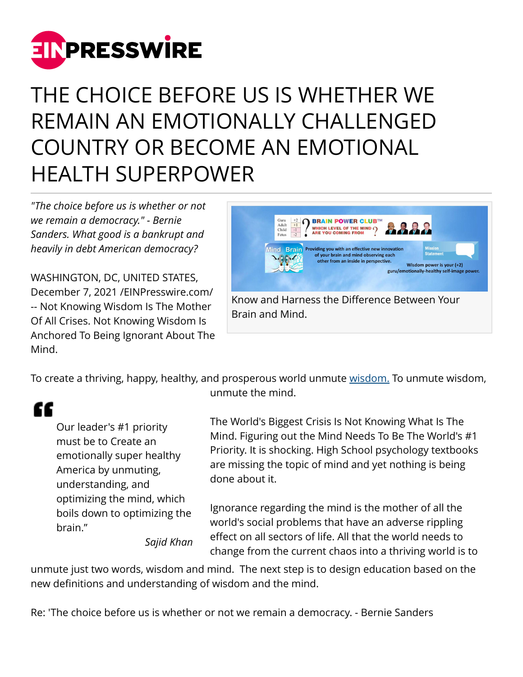

## THE CHOICE BEFORE US IS WHETHER WE REMAIN AN EMOTIONALLY CHALLENGED COUNTRY OR BECOME AN EMOTIONAL HEALTH SUPERPOWER

*"The choice before us is whether or not we remain a democracy." - Bernie Sanders. What good is a bankrupt and heavily in debt American democracy?*

WASHINGTON, DC, UNITED STATES, December 7, 2021 /[EINPresswire.com](http://www.einpresswire.com)/ -- Not Knowing Wisdom Is The Mother Of All Crises. Not Knowing Wisdom Is Anchored To Being Ignorant About The Mind.



Brain and Mind.

To create a thriving, happy, healthy, and prosperous world unmute [wisdom.](https://www.einnews.com/pr_news/538776131/the-emotional-health-magazine-promoting-wisdom-through-wise-parenting-of-the-young-and-brain-therapy-of-the-rest) To unmute wisdom, unmute the mind.

## "

Our leader's #1 priority must be to Create an emotionally super healthy America by unmuting, understanding, and optimizing the mind, which boils down to optimizing the brain."

The World's Biggest Crisis Is Not Knowing What Is The Mind. Figuring out the Mind Needs To Be The World's #1 Priority. It is shocking. High School psychology textbooks are missing the topic of mind and yet nothing is being done about it.

Ignorance regarding the mind is the mother of all the world's social problems that have an adverse rippling effect on all sectors of life. All that the world needs to change from the current chaos into a thriving world is to

*Sajid Khan*

unmute just two words, wisdom and mind. The next step is to design education based on the new definitions and understanding of wisdom and the mind.

Re: 'The choice before us is whether or not we remain a democracy. - Bernie Sanders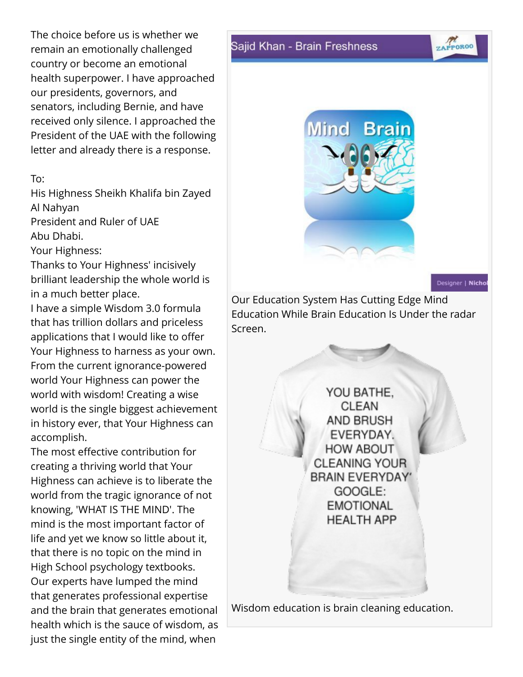The choice before us is whether we remain an emotionally challenged country or become an emotional health superpower. I have approached our presidents, governors, and senators, including Bernie, and have received only silence. I approached the President of the UAE with the following letter and already there is a response.

## To:

His Highness Sheikh Khalifa bin Zayed Al Nahyan

President and Ruler of UAE Abu Dhabi.

Your Highness:

Thanks to Your Highness' incisively brilliant leadership the whole world is in a much better place.

I have a simple Wisdom 3.0 formula that has trillion dollars and priceless applications that I would like to offer Your Highness to harness as your own. From the current ignorance-powered world Your Highness can power the world with wisdom! Creating a wise world is the single biggest achievement in history ever, that Your Highness can accomplish.

The most effective contribution for creating a thriving world that Your Highness can achieve is to liberate the world from the tragic ignorance of not knowing, 'WHAT IS THE MIND'. The mind is the most important factor of life and yet we know so little about it, that there is no topic on the mind in High School psychology textbooks. Our experts have lumped the mind that generates professional expertise and the brain that generates emotional health which is the sauce of wisdom, as just the single entity of the mind, when

## Sajid Khan - Brain Freshness



Designer | Nichol

ZAPPOROO

Our Education System Has Cutting Edge Mind Education While Brain Education Is Under the radar Screen.

> YOU BATHE, **CLEAN** AND BRUSH EVERYDAY. **HOW ABOUT CLEANING YOUR** BRAIN EVERYDAY' GOOGLE: **EMOTIONAL HEALTH APP**

Wisdom education is brain cleaning education.